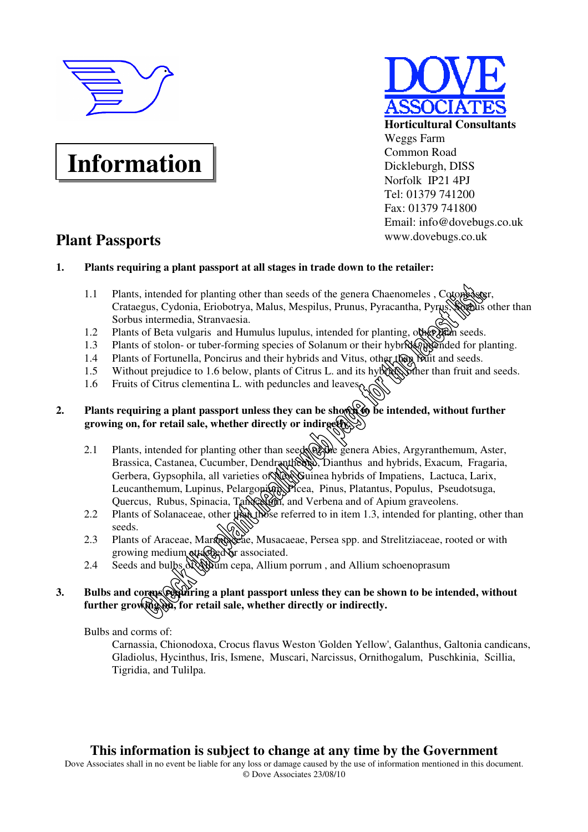

# **Information**

# **Plant Passports**



#### **1. Plants requiring a plant passport at all stages in trade down to the retailer:**

- 1.1 Plants, intended for planting other than seeds of the genera Chaenomeles, Cotoneaster, Crataegus, Cydonia, Eriobotrya, Malus, Mespilus, Prunus, Pyracantha, Pyrus, Corolus other than Sorbus intermedia, Stranvaesia.
- 1.2 Plants of Beta vulgaris and Humulus lupulus, intended for planting, other than seeds.
- 1.3 Plants of stolon- or tuber-forming species of Solanum or their hybrids, intended for planting.
- 1.4 Plants of Fortunella, Poncirus and their hybrids and Vitus, other than fruit and seeds.
- 1.5 Without prejudice to 1.6 below, plants of Citrus L. and its hybrids, where than fruit and seeds.
- 1.6 Fruits of Citrus clementina L. with peduncles and leaves.

# **2.** Plants requiring a plant passport unless they can be shown to be intended, without further **growing on, for retail sale, whether directly or indirget**  $\mathbb{X}$

- 2.1 Plants, intended for planting other than seeds  $\mathbb{Q}$  where genera Abies, Argyranthemum, Aster, Brassica, Castanea, Cucumber, Dendranthema, Dianthus and hybrids, Exacum, Fragaria, Gerbera, Gypsophila, all varieties of New Guinea hybrids of Impatiens, Lactuca, Larix, Leucanthemum, Lupinus, Pelargoni**um, Picea**, Pinus, Platantus, Populus, Pseudotsuga, Quercus, Rubus, Spinacia, Tanacetum, and Verbena and of Apium graveolens.
- 2.2 Plants of Solanaceae, other than those referred to in item 1.3, intended for planting, other than seeds.
- 2.3 Plants of Araceae, Marandaceae, Musacaeae, Persea spp. and Strelitziaceae, rooted or with growing medium attached or associated.
- 2.4 Seeds and bulbs of Allium cepa, Allium porrum, and Allium schoenoprasum

# 3. Bulbs and corms requiring a plant passport unless they can be shown to be intended, without further growing 3. for retail sale, whether directly or indirectly.

Bulbs and corms of:

 Carnassia, Chionodoxa, Crocus flavus Weston 'Golden Yellow', Galanthus, Galtonia candicans, Gladiolus, Hycinthus, Iris, Ismene, Muscari, Narcissus, Ornithogalum, Puschkinia, Scillia, Tigridia, and Tulilpa.

# **This information is subject to change at any time by the Government**

Dove Associates shall in no event be liable for any loss or damage caused by the use of information mentioned in this document. © Dove Associates 23/08/10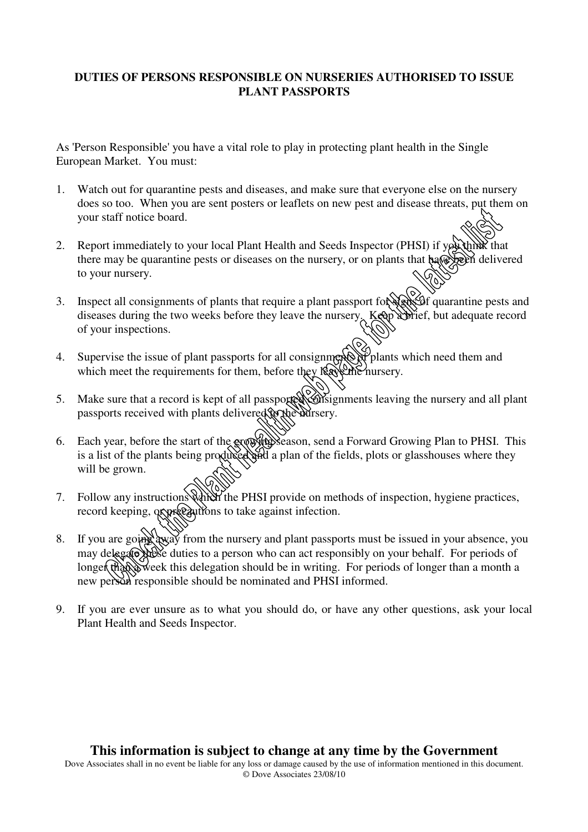## **DUTIES OF PERSONS RESPONSIBLE ON NURSERIES AUTHORISED TO ISSUE PLANT PASSPORTS**

As 'Person Responsible' you have a vital role to play in protecting plant health in the Single European Market. You must:

- 1. Watch out for quarantine pests and diseases, and make sure that everyone else on the nursery does so too. When you are sent posters or leaflets on new pest and disease threats, put them on your staff notice board.
- 2. Report immediately to your local Plant Health and Seeds Inspector (PHSI) if you think that there may be quarantine pests or diseases on the nursery, or on plants that have been delivered to your nursery.
- 3. Inspect all consignments of plants that require a plant passport for sexual quarantine pests and diseases during the two weeks before they leave the nursery. Keep a brief, but adequate record of your inspections.
- 4. Supervise the issue of plant passports for all consignments of plants which need them and which meet the requirements for them, before they leave the nursery.
- 5. Make sure that a record is kept of all passported consignments leaving the nursery and all plant passports received with plants delivered to the nursery.
- 6. Each year, before the start of the growing season, send a Forward Growing Plan to PHSI. This is a list of the plants being produced and a plan of the fields, plots or glasshouses where they will be grown.
- 7. Follow any instructions which the PHSI provide on methods of inspection, hygiene practices, record keeping, or preeductions to take against infection.
- 8. If you are going away from the nursery and plant passports must be issued in your absence, you may delegate these duties to a person who can act responsibly on your behalf. For periods of longer than a month a longer than a month a longer than a month a new person responsible should be nominated and PHSI informed.
- 9. If you are ever unsure as to what you should do, or have any other questions, ask your local Plant Health and Seeds Inspector.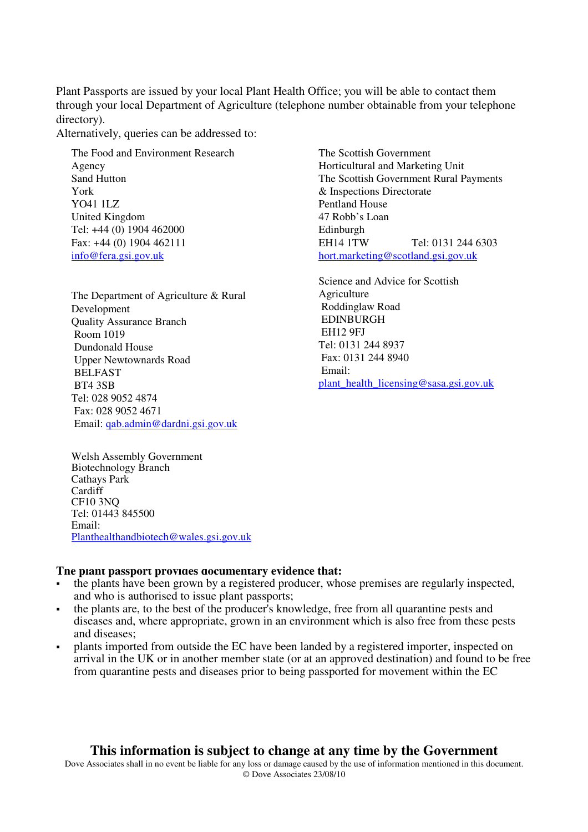Plant Passports are issued by your local Plant Health Office; you will be able to contact them through your local Department of Agriculture (telephone number obtainable from your telephone directory).

Alternatively, queries can be addressed to:

The Food and Environment Research Agency Sand Hutton York YO41 1LZ United Kingdom Tel: +44 (0) 1904 462000 Fax: +44 (0) 1904 462111 info@fera.gsi.gov.uk

The Department of Agriculture & Rural Development Quality Assurance Branch Room 1019 Dundonald House Upper Newtownards Road BELFAST BT4 3SB Tel: 028 9052 4874 Fax: 028 9052 4671 Email: qab.admin@dardni.gsi.gov.uk

The Scottish Government Horticultural and Marketing Unit The Scottish Government Rural Payments & Inspections Directorate Pentland House 47 Robb's Loan Edinburgh EH14 1TW Tel: 0131 244 6303 hort.marketing@scotland.gsi.gov.uk

Science and Advice for Scottish Agriculture Roddinglaw Road EDINBURGH EH12 9FJ Tel: 0131 244 8937 Fax: 0131 244 8940 Email: plant\_health\_licensing@sasa.gsi.gov.uk

Welsh Assembly Government Biotechnology Branch Cathays Park **Cardiff** CF10 3NQ Tel: 01443 845500 Email: Planthealthandbiotech@wales.gsi.gov.uk

#### **The plant passport provides documentary evidence that:**

- the plants have been grown by a registered producer, whose premises are regularly inspected, and who is authorised to issue plant passports;
- the plants are, to the best of the producer's knowledge, free from all quarantine pests and diseases and, where appropriate, grown in an environment which is also free from these pests and diseases;
- plants imported from outside the EC have been landed by a registered importer, inspected on arrival in the UK or in another member state (or at an approved destination) and found to be free from quarantine pests and diseases prior to being passported for movement within the EC

### **This information is subject to change at any time by the Government**

Dove Associates shall in no event be liable for any loss or damage caused by the use of information mentioned in this document. © Dove Associates 23/08/10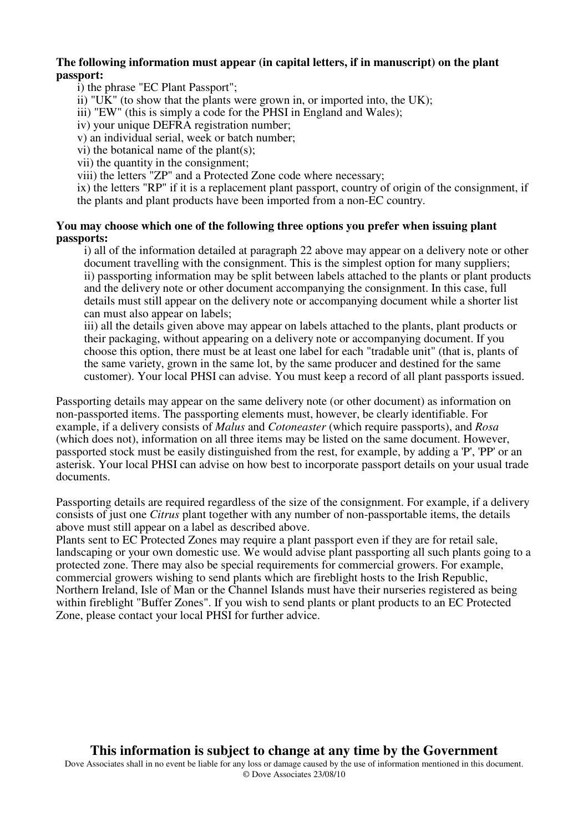#### **The following information must appear (in capital letters, if in manuscript) on the plant passport:**

i) the phrase "EC Plant Passport";

ii) "UK" (to show that the plants were grown in, or imported into, the UK);

iii) "EW" (this is simply a code for the PHSI in England and Wales);

iv) your unique DEFRA registration number;

v) an individual serial, week or batch number;

vi) the botanical name of the plant(s);

vii) the quantity in the consignment;

viii) the letters "ZP" and a Protected Zone code where necessary;

ix) the letters "RP" if it is a replacement plant passport, country of origin of the consignment, if the plants and plant products have been imported from a non-EC country.

#### **You may choose which one of the following three options you prefer when issuing plant passports:**

i) all of the information detailed at paragraph 22 above may appear on a delivery note or other document travelling with the consignment. This is the simplest option for many suppliers; ii) passporting information may be split between labels attached to the plants or plant products and the delivery note or other document accompanying the consignment. In this case, full details must still appear on the delivery note or accompanying document while a shorter list can must also appear on labels;

iii) all the details given above may appear on labels attached to the plants, plant products or their packaging, without appearing on a delivery note or accompanying document. If you choose this option, there must be at least one label for each "tradable unit" (that is, plants of the same variety, grown in the same lot, by the same producer and destined for the same customer). Your local PHSI can advise. You must keep a record of all plant passports issued.

Passporting details may appear on the same delivery note (or other document) as information on non-passported items. The passporting elements must, however, be clearly identifiable. For example, if a delivery consists of *Malus* and *Cotoneaster* (which require passports), and *Rosa* (which does not), information on all three items may be listed on the same document. However, passported stock must be easily distinguished from the rest, for example, by adding a 'P', 'PP' or an asterisk. Your local PHSI can advise on how best to incorporate passport details on your usual trade documents.

Passporting details are required regardless of the size of the consignment. For example, if a delivery consists of just one *Citrus* plant together with any number of non-passportable items, the details above must still appear on a label as described above.

Plants sent to EC Protected Zones may require a plant passport even if they are for retail sale, landscaping or your own domestic use. We would advise plant passporting all such plants going to a protected zone. There may also be special requirements for commercial growers. For example, commercial growers wishing to send plants which are fireblight hosts to the Irish Republic, Northern Ireland, Isle of Man or the Channel Islands must have their nurseries registered as being within fireblight "Buffer Zones". If you wish to send plants or plant products to an EC Protected Zone, please contact your local PHSI for further advice.